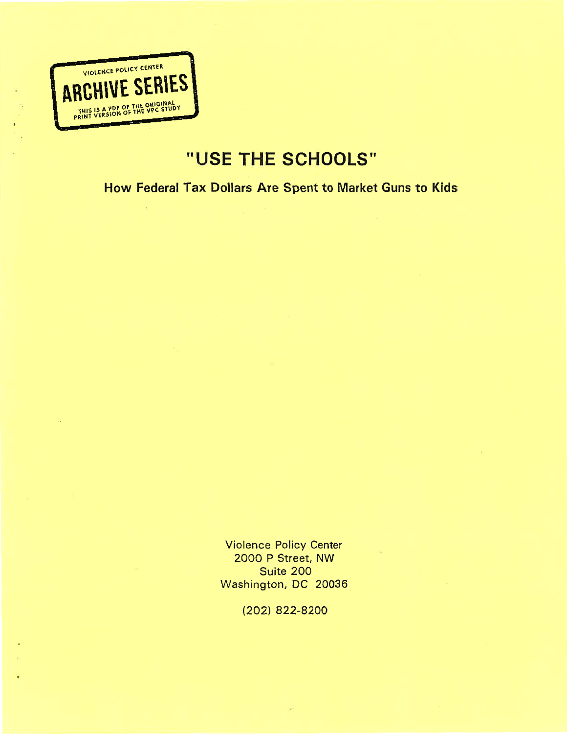

# USE THE SCHOOLS''

# How Federal Tax Dollars Are Spent to Market Guns to Kids

Violence Policy Center 2000 P Street, NW Suite 200 Washington, DC 20036

(2021 822-8200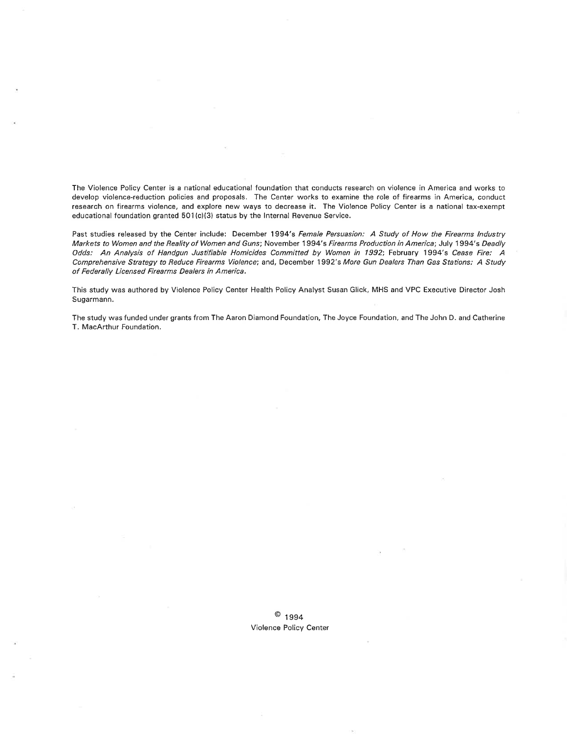The Violence Policy Center is a national educational foundation that conducts research on violence in America and works to develop violence-reduction policies and proposals. The Center works to examine the role of firearms in America, conduct research on firearms violence, and explore new ways to decrease it. The Violence Policy Center is a national tax-exempt educational foundation granted 501 (c)(3) status by the lnternal Revenue Service.

Past studies released by the Center include: December 1994's Female Persuasion: A Study of How the Firearms Industry Markets to Women and the Reality of Women and Guns; November 1994's Firearms Production in America; July 1994's Deadly Odds: An Analysis of Handgun Justifiable Homicides Committed by Women in 1992', February 1994's Cease Fire: A Comprehensive Strategy to Reduce Firearms Violence; and, December 1992's More Gun Dealers Than Gas Stations: A Study of Federally Licensed Firearms Dealers in America.

This study was authored by Violence Policy Center Health Policy Analyst Susan Glick, MHS and VPC Executive Director Josh Sugarmann.

The study was funded under grants from The Aaron Diamond Foundation, The Joyce Foundation, and The John D. and Catherine T. MacArthur Foundation.

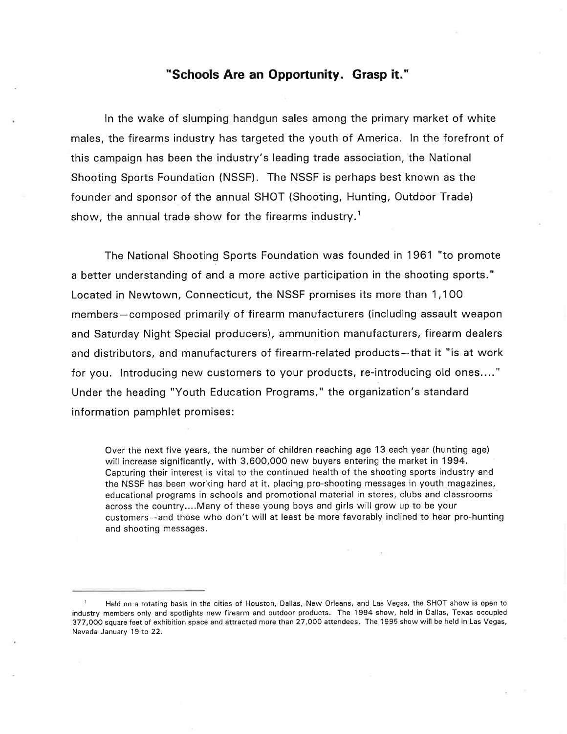#### "Schools Are an Opportunity. Grasp it."

ln the wake of slumping handgun sales among the primary market of white males, the firearms industry has targeted the youth of America. ln the forefront of this campaign has been the industry's leading trade association, the National Shooting Sports Foundation (NSSF). The NSSF is perhaps best known as the founder and sponsor of the annual SHOT (Shooting, Hunting, Outdoor Trade) show, the annual trade show for the firearms industry.<sup>1</sup>

The National Shooting Sports Foundation was founded in 1961 "to promote a better understanding of and a more active participation in the shooting sports." Located in Newtown, Connecticut, the NSSF promises its more than 1,100 members-composed primarily of firearm manufacturers (including assault weapon and Saturday Night Special producers), ammunition manufacturers, firearm dealers and distributors, and manufacturers of firearm-related products-that it "is at work for you. lntroducing new customers to your products, re-introducing old ones...." Under the heading "Youth Education Programs," the organization's standard information pamphlet promises:

Over the next five years, the number of children reaching age 13 each year (hunting age) will increase significantly, with 3,600,000 new buyers entering the market in 1994. Capturing their interest is vital to the continued health of the shooting sports industry and the NSSF has been working hard at it, placing pro-shooting messages in youth magazines, educational programs in schools and promotional material in stores, clubs and classrooms across the country...,Many of these young boys and girls will grow up to be your customers-and those who don't will at least be more favorably inclined to hear pro-hunting and shooting messages.

<sup>1</sup> Held on a rotating basis in the cities of Houston, Dallas, New Orleans, and Las Vegas, the SHOT show is open to industry members only and spotlights new firearm and outdoor products. The 1994 show, held in Dallas, Texas occupied 377,000 square feet of exhibition space and attracted more than 27,000 attendees. The 1995 show will be held in Las Vegas, Nevada January 19 to 22.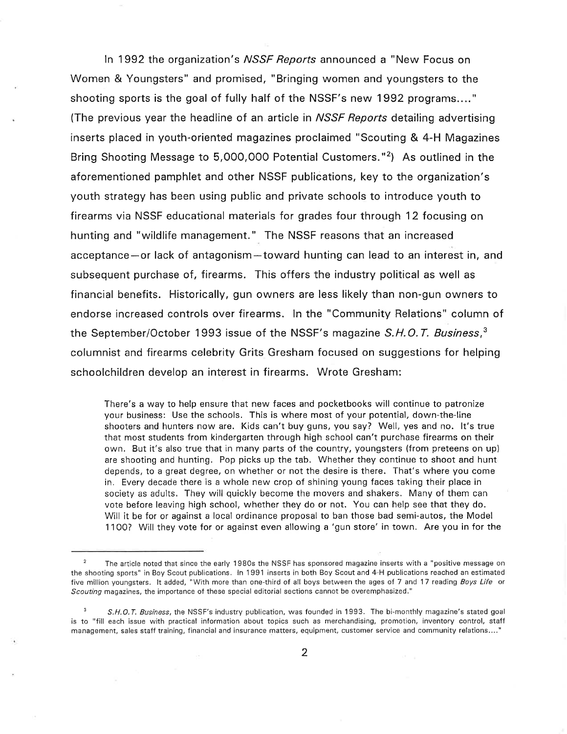In 1992 the organization's *NSSF Reports* announced a "New Focus on Women & Youngsters" and promised, "Bringing women and youngsters to the shooting sports is the goal of fully half of the NSSF's new 1992 programs...." (The previous year the headline of an article in *NSSF Reports* detailing advertising inserts placed in youth-oriented magazines proclaimed "Scouting & 4-H Magazines Bring Shooting Message to 5,000,000 Potential Customers."2) As outlined in the aforementioned pamphlet and other NSSF publications, key to the organization's youth strategy has been using public and private schools to introduce youth to firearms via NSSF educational materials for grades four through 12 focusing on hunting and "wildlife management." The NSSF reasons that an increased acceptance-or lack of antagonism-toward hunting can lead to an interest in, and subsequent purchase of, firearms. This offers the industry political as well as financial benefits. Historically, gun owners are less likely than non-gun owners to endorse increased controls over firearms. ln the "Community Relations" column of the September/October 1993 issue of the NSSF's magazine  $S.H.O.T.$  Business,  $3$ columnist and firearms celebrity Grits Gresham focused on suggestions for helping schoolchildren develop an interest in firearms. Wrote Gresham:

There's a way to help ensure that new faces and pocketbooks will continue to patronize your business: Use the schools. This is where most of your potential, down-the-line shooters and hunters now are. Kids can't buy guns, you say? Well, yes and no. lt's true that most students from kindergarten through high school can't purchase firearms on their own. But it's also true that in many parts of the country, youngsters (from preteens on up) are shooting and hunting. Pop picks up the tab. Whether they continue to shoot and hunt depends, to a great degree, on whether or not the desire is there. That's where you come in, Every decade there is a whole new crop of shining young faces taking their place in society as adults. They will quickly become the movers and shakers. Many of them can vote before leaving high school, whether they do or not. You can help see that they do. Will it be for or against a local ordinance proposal to ban those bad semi-autos, the Model <sup>1</sup>100? Will they vote for or against even allowing a 'gun store' in town. Are you in for the

<sup>&</sup>lt;sup>2</sup> The article noted that since the early 1980s the NSSF has sponsored magazine inserts with a "positive message on the shooting sports" in Boy Scout publications. In 1991 inserts in both Boy Scout and 4-H publications reached an estimated five million youngsters. It added, "With more than one-third of all boys between the ages of 7 and 17 reading Boys Life or Scouting magazines, the importance of these special editorial sections cannot be overemphasized."

S.H.O.T. Business, the NSSF's industry publication, was founded in 1993. The bi-monthly magazine's stated goal is to "fill each issue with practical information about topics such as merchandising, promotion, inventory control, staff management, sales staff training, financial and insurance matters, equipment, customer service and community relations...."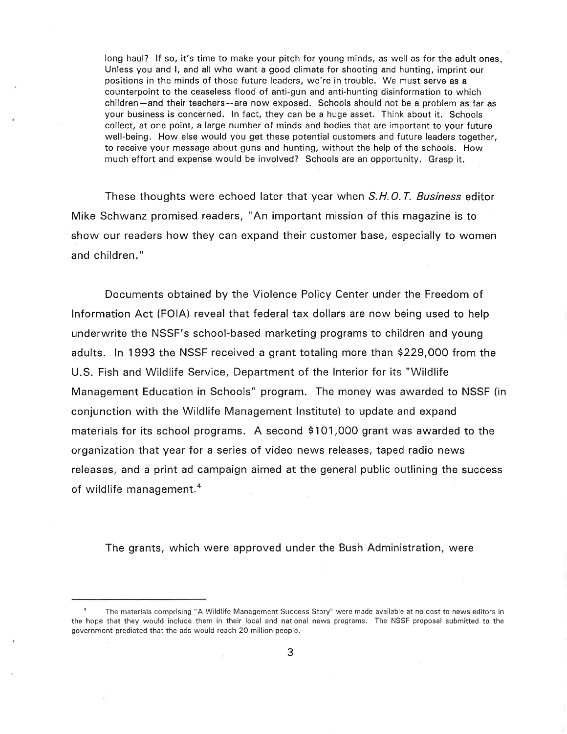long haul? If so, it's time to make your pitch for young minds, as well as for the adult ones. Unless you and l, and all who want a good climate for shooting and hunting, imprint our positions in the minds of those future leaders, we're in trouble. We must serve as <sup>a</sup> counterpoint to the ceaseless flood of anti-gun and anti-hunting disinformation to which children-and their teachers-are now exposed. Schools should not be a problem as far as your business is concerned. ln fact, they can be a huge asset. Think about it. Schools collect, at one point, a large number of minds and bodies that are important to your future well-being. How else would you get these potential customers and future leaders together, to receive your message about guns and hunting, without the help of the schools. How much effort and expense would be involved? Schools are an opportunity. Grasp it.

These thoughts were echoed later that year when S.H.O.T. Business editor Mike Schwanz promised readers, "An important mission of this magazine is to show our readers how they can expand their customer base, especially to women and children."

Documents obtained by the Violence Policy Center under the Freedom of lnformation Act (FOIA) reveal that federal tax dollars are now being used to help underwrite the NSSF's school-based marketing programs to children and young adults. ln 1993 the NSSF received a grant totaling more than \$229,000 from the U.S. Fish and Wildlife Service, Department of the lnterior for its "Wildlife Management Education in Schools" program. The money was awarded to NSSF (in conjunction with the Wildlife Management lnstitute) to update and expand materials for its school programs. A second \$101,000 grant was awarded to the organization that year for a series of video news releases, taped radio news releases, and a print ad campaign aimed at the general public outlining the success of wildlife management. $4$ 

The grants, which were approved under the Bush Administration, were

The materials comprising "A Wildlife Management Success Story" were made available at no cost to news editors in the hope that they would include them in their local and national news programs. The NSSF proposal submitted to the government predicted that the ads would reach 20 million people.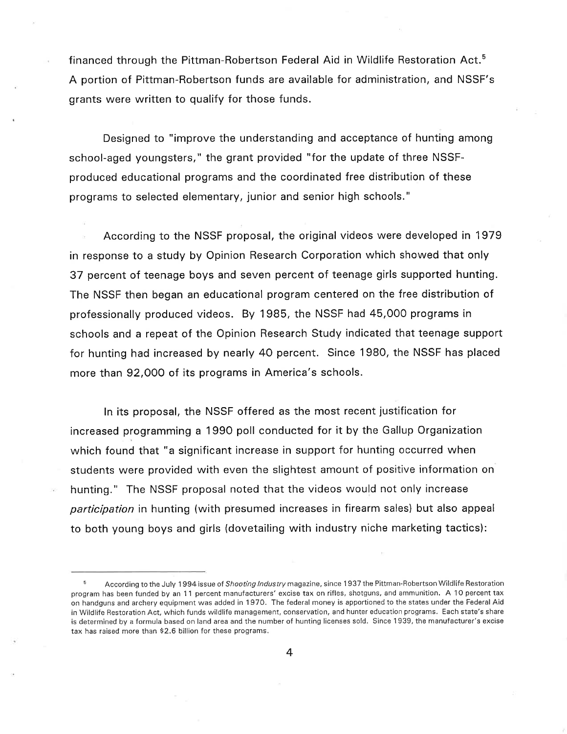financed through the Pittman-Robertson Federal Aid in Wildlife Restoration Act.5 A portion of Pittman-Robertson funds are available for administration, and NSSF's grants were written to qualify for those funds.

Designed to "improve the understanding and acceptance of hunting among school-aged youngsters," the grant provided "for the update of three NSSFproduced educational programs and the coordinated free distribution of these programs to selected elementary, junior and senior high schools."

According to the NSSF proposal, the original videos were developed in 1979 in response to a study by Opinion Research Corporation which showed that only 37 percent of teenage boys and seven percent of teenage girls supported hunting. The NSSF then began an educational program centered on the free distribution of professionally produced videos. By 1985, the NSSF had 45,000 programs in schools and a repeat of the Opinion Research Study indicated that teenage support for hunting had increased by nearly 40 percent. Since 1980, the NSSF has placed more than 92,000 of its programs in America's schools.

ln its proposal, the NSSF offered as the most recent justification for increased programming a 1990 poll conducted for it by the Gallup Organization which found that "a significant increase in support for hunting occurred when students were provided with even the slightest amount of positive information on hunting." The NSSF proposal noted that the videos would not only increase participation in hunting (with presumed increases in firearm sales) but also appeal to both young boys and girls (dovetailing with industry niche marketing tactics):

According to the July 1994 issue of Shooting Industry magazine, since 1937 the Pittman-Robertson Wildlife Restoration program has been funded by an 11 percent manufacturers' excise tax on rifles, shotguns, and ammunition. A 10 percent tax on handguns and archery equipment was added in 1 970. The federal money is apportioned to the states under the Federal Aid in Wildlife Restoration Act, which funds wildlife management, conservation, and hunter education programs. Each state's share is determined by a formula based on land area and the number of hunting licenses sold. Since 1939, the manufacturer's excise tax has raised more than \$2.6 billion for these programs.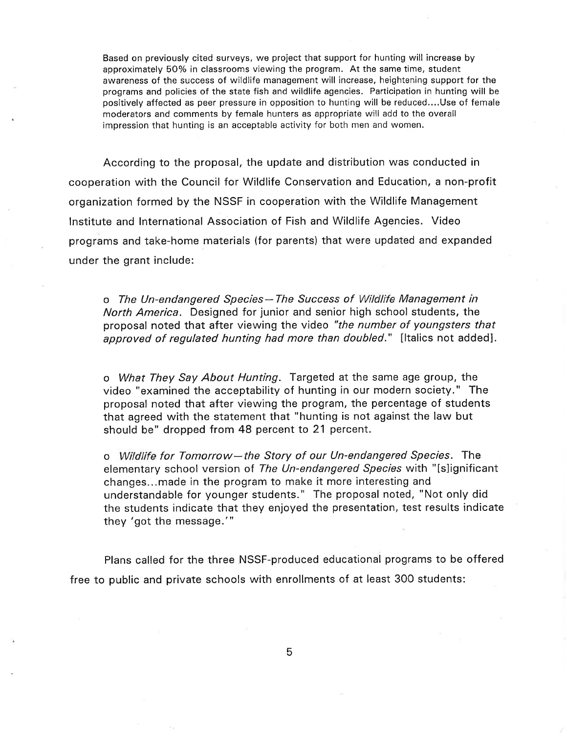Based on previously cited surveys, we project that support for hunting will increase by approximately 50% in classrooms viewing the program. At the same time, student awareness of the success of wildlife management will increase, heightening support for the programs and policies of the state fish and wildlife agencies. Participation in hunting will be positively affected as peer pressure in opposition to hunting will be reduced....Use of female moderators and comments by female hunters as appropriate will add to the overall impression that hunting is an acceptable activity for both men and women.

According to the proposal, the update and distribution was conducted in cooperation with the Council for Wildlife Conservation and Education, a non-profit organization formed by the NSSF in cooperation with the Wildlife Management lnstitute and lnternational Association of Fish and Wildlife Agencies. Video programs and take-home materials (for parents) that were updated and expanded under the grant include:

o The Un-endangered Species-The Success of Wildlife Management in North America. Designed for junior and senior high school students, the proposal noted that after viewing the video "the number of youngsters that approved of regulated hunting had more than doubled." [Italics not added].

o What They Say About Hunting. Targeted at the same age group, the video "examined the acceptability of hunting in our modern society." The proposal noted that after viewing the program, the percentage of students that agreed with the statement that "hunting is not against the law but should be" dropped from 48 percent to 21 percent.

o Wildlife for Tomorrow-the Story of our Un-endangered Species. The elementary school version of The Un-endangered Species with "[s]ignificant changes...made in the program to make it more interesting and understandable for younger students." The proposal noted, "Not only did the students indicate that they enjoyed the presentation, test results indicate they 'got the message."'

Plans called for the three NSSF-produced educational programs to be offered free to public and private schools with enrollments of at least 300 students: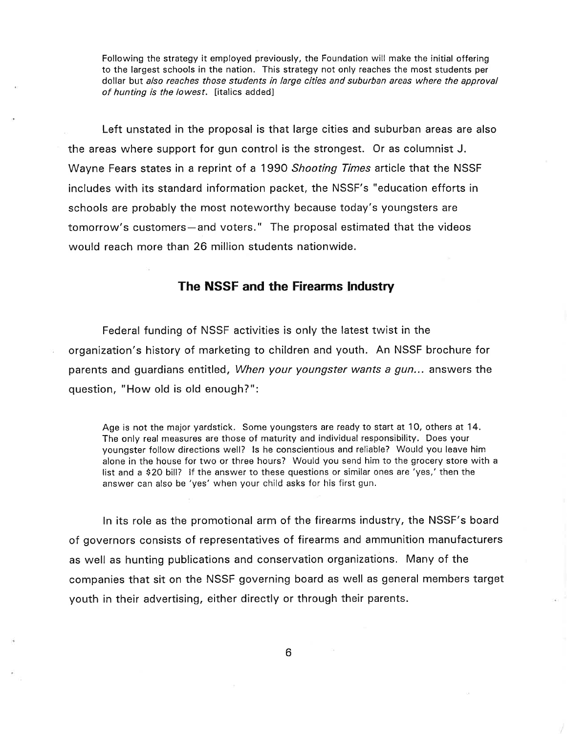Following the strategy it employed previously, the Foundation will make the initial offering to the largest schools in the nation. This strategy not only reaches the most students per dollar but also reaches those students in large cities and suburban areas where the approval of hunting is the lowest. [italics added]

Left unstated in the proposal is that large cities and suburban areas are also the areas where support for gun control is the strongest. Or as columnist J. Wayne Fears states in a reprint of a 1990 Shooting Times article that the NSSF includes with its standard information packet, the NSSF's "education efforts in schools are probably the most noteworthy because today's youngsters are tomorrow's customers-and voters." The proposal estimated that the videos would reach more than 26 million students nationwide.

### The NSSF and the Firearms lndustry

Federal funding of NSSF activities is only the latest twist in the organization's history of marketing to children and youth. An NSSF brochure for parents and guardians entitled, When your youngster wants a gun... answers the question, "How old is old enough?":

Age is not the major yardstick. Some youngsters are ready to start at 10, others at 14. The only real measures are those of maturity and individual responsibility. Does your youngster follow directions well? ls he conscientious and reliable? Would you leave him alone in the house for two or three hours? Would you send him to the grocery store with <sup>a</sup> list and a \$20 bill? lf the answer to these questions or similar ones are'yes,'then the answer can also be'yes'when your child asks for his first gun.

ln its role as the promotional arm of the firearms industry, the NSSF's board of governors consists of representatives of firearms and ammunition manufacturers as well as hunting publications and conservation organizations. Many of the companies that sit on the NSSF governing board as well as general members target youth in their advertising, either directly or through their parents.

6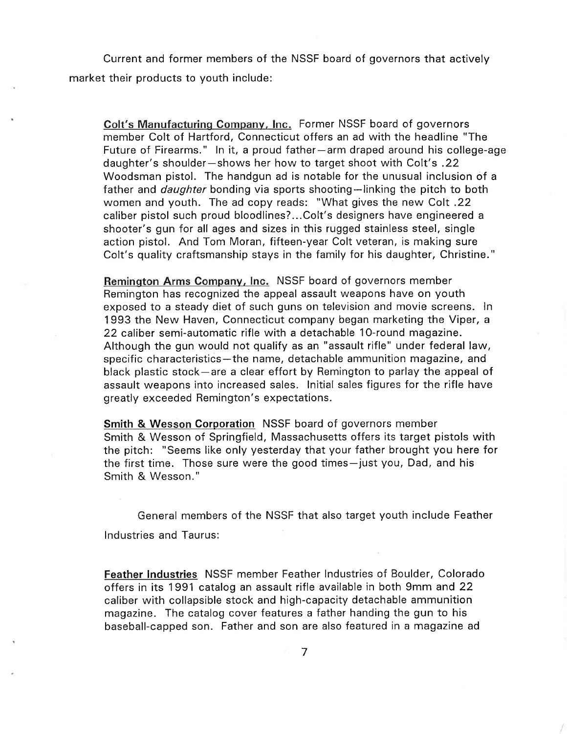Current and former members of the NSSF board of governors that actively market their products to youth include:

Colt's Manufacturing Companv, lnc. Former NSSF board of governors member Colt of Hartford, Connecticut offers an ad with the headline "The Future of Firearms." In it, a proud father-arm draped around his college-age daughter's shoulder-shows her how to target shoot with Colt's .22 Woodsman pistol. The handgun ad is notable for the unusual inclusion of <sup>a</sup> father and *daughter* bonding via sports shooting-linking the pitch to both women and youth. The ad copy reads: "What gives the new Colt .22 caliber pistol such proud bloodlines?...Colt's designers have engineered <sup>a</sup> shooter's gun for all ages and sizes in this rugged stainless steel, single action pistol. And Tom Moran, fifteen-year Colt veteran, is making sure Colt's quality craftsmanship stays in the family for his daughter, Christine."

Reminqton Arms Company, lnc. NSSF board of governors member Remington has recognized the appeal assault weapons have on youth exposed to a steady diet of such guns on television and movie screens. ln 1993 the New Haven, Connecticut company began marketing the Viper, <sup>a</sup> 22 caliber semi-automatic rifle with a detachable 1O-round magazine. Although the gun would not qualify as an "assault rifle" under federal law, specific characteristics-the name, detachable ammunition magazine, and black plastic stock-are a clear effort by Remington to parlay the appeal of assault weapons into increased sales. lnitial sales figures for the rifle have greatly exceeded Remington's expectations.

Smith & Wesson Corporation NSSF board of governors member Smith & Wesson of Springfield, Massachusetts offers its target pistols with the pitch: "Seems like only yesterday that your father brought you here for the first time. Those sure were the good times-just you, Dad, and his Smith & Wesson."

General members of the NSSF that also target youth include Feather lndustries and Taurus:

Feather lndustries NSSF member Feather lndustries of Boulder, Colorado offers in its 1991 catalog an assault rifle available in both 9mm and 22 caliber with collapsible stock and high-capacity detachable ammunition magazine. The catalog cover features a father handing the gun to his baseball-capped son. Father and son are also featured in a magazine ad

7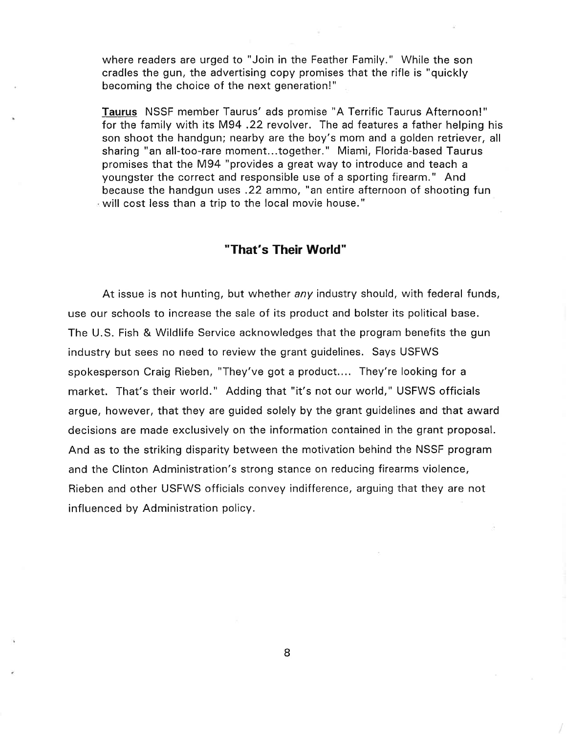where readers are urged to "Join in the Feather Family." While the son cradles the gun, the advertising copy promises that the rifle is "quickly becoming the choice of the next generation!"

Taurus NSSF member Taurus' ads promise "A Terrific Taurus Afternoon!" for the family with its M94 .22 revolver. The ad features a father helping his son shoot the handgun; nearby are the boy's mom and a golden retriever, all sharing "an all-too-rare moment...together." Miami, Florida-based Taurus promises that the M94 "provides a great way to introduce and teach a youngster the correct and responsible use of a sporting firearm." And because the handgun uses .22 ammo, "an entire afternoon of shooting fun will cost less than a trip to the local movie house."

## "That's Their World"

At issue is not hunting, but whether any industry should, with federal funds, use our schools to increase the sale of its product and bolster its political base. The U.S. Fish & Wildlife Service acknowledges that the program benefits the gun industry but sees no need to review the grant guidelines. Says USFWS spokesperson Craig Rieben, "They've got a product.... They're looking for <sup>a</sup> market. That's their world." Adding that "it's not our world," USFWS officials argue, however, that they are guided solely by the grant guidelines and that award decisions are made exclusively on the information contained in the grant proposal. And as to the striking disparity between the motivation behind the NSSF program and the Clinton Administration's strong stance on reducing firearms violence, Rieben and other USFWS officials convey indifference, arguing that they are not influenced by Administration policy.